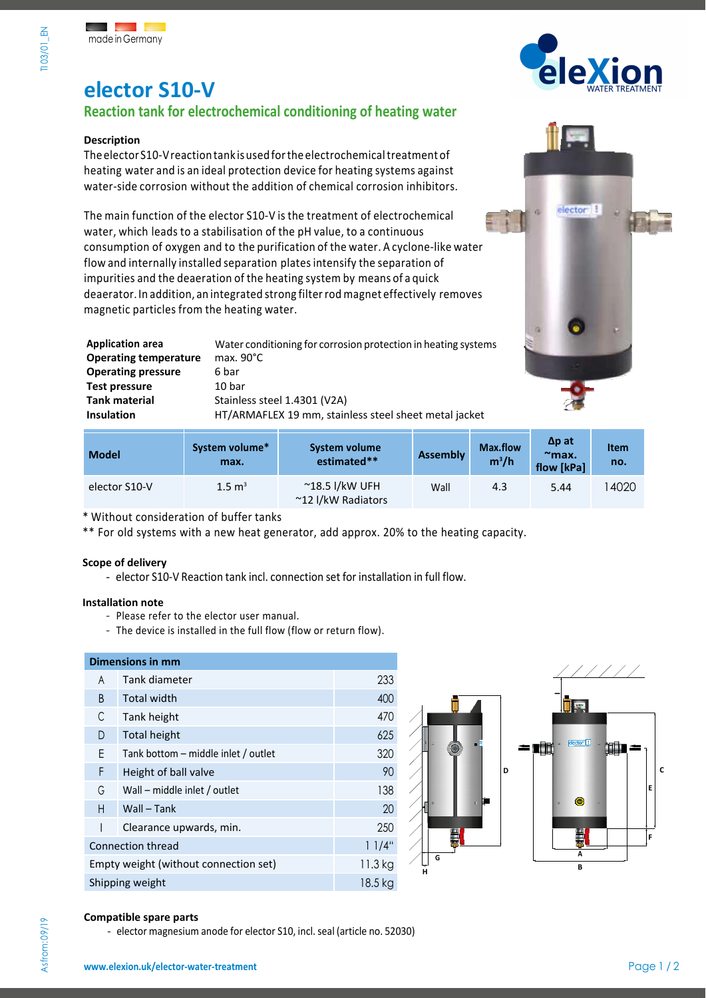# **elector S10-V**

### **Reaction tank for electrochemical conditioning of heating water**

### **Description**

The elector S10-V reaction tank is used for the electrochemical treatment of heating water and is an ideal protection device for heating systems against water-side corrosion without the addition of chemical corrosion inhibitors.

The main function of the elector S10-V is the treatment of electrochemical water, which leads to a stabilisation of the pH value, to a continuous consumption of oxygen and to the purification of the water. A cyclone-like water flow and internally installed separation platesintensify the separation of impurities and the deaeration of the heating system by means of a quick deaerator. In addition, an integrated strong filterrod magnet effectively removes magnetic particles from the heating water.

Application area **Water conditioning for corrosion protection in heating systems**<br>Operating temperature max. 90°C **Operating temperature Operating pressure** 6 bar **Test pressure** 10 bar Tank material **Stainless steel 1.4301 (V2A) Insulation** HT/ARMAFLEX 19 mm, stainless steel sheet metal jacket

**System volume** 



| <b>Model</b>  | System volume*<br>max. | System volume<br>estimated**                  | <b>Assembly</b> | Max.flow<br>$m^3/h$ | $\Delta p$ at<br>$\mathbb{Z}$ max $\mathbb{Z}$<br>flow [kPa] | <b>Item</b><br>no. |
|---------------|------------------------|-----------------------------------------------|-----------------|---------------------|--------------------------------------------------------------|--------------------|
| elector S10-V | $1.5 \text{ m}^3$      | $^{\sim}$ 18.5 l/kW UFH<br>~12 I/kW Radiators | Wall            | 4.3                 | 5.44                                                         | 14020              |

\* Without consideration of buffer tanks

\*\* For old systems with a new heat generator, add approx. 20% to the heating capacity.

### **Scope of delivery**

- elector S10-V Reaction tank incl. connection set for installation in full flow.

### **Installation note**

- Please refer to the elector user manual.
- The device is installed in the full flow (flow or return flow).

### **Dimensions in mm**

| A                                     | Tank diameter                       | 233 |
|---------------------------------------|-------------------------------------|-----|
| B                                     | <b>Total width</b>                  | 400 |
| C                                     | Tank height                         | 470 |
| D                                     | <b>Total height</b>                 | 625 |
| Ε                                     | Tank bottom – middle inlet / outlet | 320 |
| F                                     | Height of ball valve                | 90  |
| G                                     | Wall – middle inlet / outlet        | 138 |
| H                                     | Wall - Tank                         | 20  |
|                                       | Clearance upwards, min.             | 250 |
| <b>Connection thread</b>              | 11/4"                               |     |
| Empty weight (without connection set) | 11.3 kg                             |     |
| Shipping weight                       | 18.5 kg                             |     |



### **Compatible spare parts**

Asfrom:09/19

- elector magnesium anode for elector S10, incl. seal (article no. 52030)